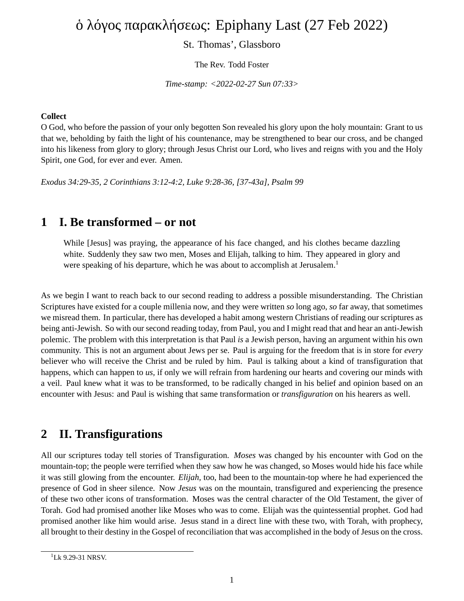# ὁ λόγος παρακλήσεως: Epiphany Last (27 Feb 2022)

St. Thomas', Glassboro

The Rev. Todd Foster

*Time-stamp: <2022-02-27 Sun 07:33>*

#### **Collect**

O God, who before the passion of your only begotten Son revealed his glory upon the holy mountain: Grant to us that we, beholding by faith the light of his countenance, may be strengthened to bear our cross, and be changed into his likeness from glory to glory; through Jesus Christ our Lord, who lives and reigns with you and the Holy Spirit, one God, for ever and ever. Amen.

*Exodus 34:29-35, 2 Corinthians 3:12-4:2, Luke 9:28-36, [37-43a], Psalm 99*

### **1 I. Be transformed – or not**

While [Jesus] was praying, the appearance of his face changed, and his clothes became dazzling white. Suddenly they saw two men, Moses and Elijah, talking to him. They appeared in glory and were speaking of his departure, which he was about to accomplish at Jerusalem.<sup>1</sup>

As we begin I want to reach back to our second reading to address a possible misunderstanding. The Christian Scriptures have existed for a couple millenia now, and they were written *so* long ago, *so* far away, that sometimes we misread them. In particular, there has developed a habit among western Christians of reading our scriptures as being anti-Jewish. So with our second reading today, from Paul, you and I might read that and hear an anti-Jewish polemic. The problem with this interpretation is that Paul *is* a Jewish person, having an argument within his own community. This is not an argument about Jews per se. Paul is arguing for the freedom that is in store for *every* believer who will receive the Christ and be ruled by him. Paul is talking about a kind of transfiguration that happens, which can happen to *us,* if only we will refrain from hardening our hearts and covering our minds with a veil. Paul knew what it was to be transformed, to be radically changed in his belief and opinion based on an encounter with Jesus: and Paul is wishing that same transformation or *transfiguration* on his hearers as well.

### **2 II. Transfigurations**

All our scriptures today tell stories of Transfiguration. *Moses* was changed by his encounter with God on the mountain-top; the people were terrified when they saw how he was changed, so Moses would hide his face while it was still glowing from the encounter. *Elijah,* too, had been to the mountain-top where he had experienced the presence of God in sheer silence. Now *Jesus* was on the mountain, transfigured and experiencing the presence of these two other icons of transformation. Moses was the central character of the Old Testament, the giver of Torah. God had promised another like Moses who was to come. Elijah was the quintessential prophet. God had promised another like him would arise. Jesus stand in a direct line with these two, with Torah, with prophecy, all brought to their destiny in the Gospel of reconciliation that was accomplished in the body of Jesus on the cross.

 $1$ <sub>Lk</sub> 9.29-31 NRSV.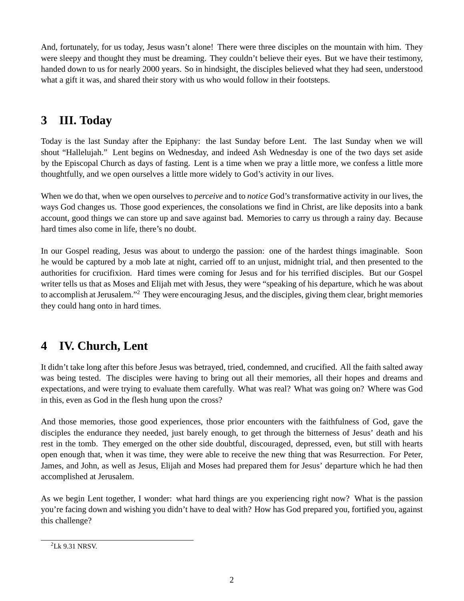And, fortunately, for us today, Jesus wasn't alone! There were three disciples on the mountain with him. They were sleepy and thought they must be dreaming. They couldn't believe their eyes. But we have their testimony, handed down to us for nearly 2000 years. So in hindsight, the disciples believed what they had seen, understood what a gift it was, and shared their story with us who would follow in their footsteps.

# **3 III. Today**

Today is the last Sunday after the Epiphany: the last Sunday before Lent. The last Sunday when we will shout "Hallelujah." Lent begins on Wednesday, and indeed Ash Wednesday is one of the two days set aside by the Episcopal Church as days of fasting. Lent is a time when we pray a little more, we confess a little more thoughtfully, and we open ourselves a little more widely to God's activity in our lives.

When we do that, when we open ourselves to *perceive* and to *notice* God's transformative activity in our lives, the ways God changes us. Those good experiences, the consolations we find in Christ, are like deposits into a bank account, good things we can store up and save against bad. Memories to carry us through a rainy day. Because hard times also come in life, there's no doubt.

In our Gospel reading, Jesus was about to undergo the passion: one of the hardest things imaginable. Soon he would be captured by a mob late at night, carried off to an unjust, midnight trial, and then presented to the authorities for crucifixion. Hard times were coming for Jesus and for his terrified disciples. But our Gospel writer tells us that as Moses and Elijah met with Jesus, they were "speaking of his departure, which he was about to accomplish at Jerusalem."<sup>2</sup> They were encouraging Jesus, and the disciples, giving them clear, bright memories they could hang onto in hard times.

## **4 IV. Church, Lent**

It didn't take long after this before Jesus was betrayed, tried, condemned, and crucified. All the faith salted away was being tested. The disciples were having to bring out all their memories, all their hopes and dreams and expectations, and were trying to evaluate them carefully. What was real? What was going on? Where was God in this, even as God in the flesh hung upon the cross?

And those memories, those good experiences, those prior encounters with the faithfulness of God, gave the disciples the endurance they needed, just barely enough, to get through the bitterness of Jesus' death and his rest in the tomb. They emerged on the other side doubtful, discouraged, depressed, even, but still with hearts open enough that, when it was time, they were able to receive the new thing that was Resurrection. For Peter, James, and John, as well as Jesus, Elijah and Moses had prepared them for Jesus' departure which he had then accomplished at Jerusalem.

As we begin Lent together, I wonder: what hard things are you experiencing right now? What is the passion you're facing down and wishing you didn't have to deal with? How has God prepared you, fortified you, against this challenge?

<sup>2</sup>Lk 9.31 NRSV.